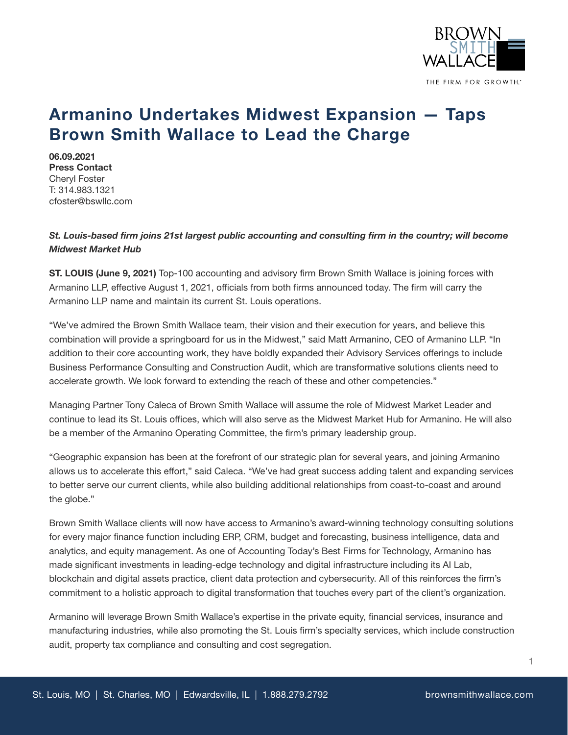

## **Armanino Undertakes Midwest Expansion — Taps Brown Smith Wallace to Lead the Charge**

**06.09.2021 Press Contact** Cheryl Foster T: 314.983.1321 cfoster@bswllc.com

## *St. Louis-based firm joins 21st largest public accounting and consulting firm in the country; will become Midwest Market Hub*

**ST. LOUIS (June 9, 2021)** Top-100 accounting and advisory firm Brown Smith Wallace is joining forces with Armanino LLP, effective August 1, 2021, officials from both firms announced today. The firm will carry the Armanino LLP name and maintain its current St. Louis operations.

"We've admired the Brown Smith Wallace team, their vision and their execution for years, and believe this combination will provide a springboard for us in the Midwest," said Matt Armanino, CEO of Armanino LLP. "In addition to their core accounting work, they have boldly expanded their Advisory Services offerings to include Business Performance Consulting and Construction Audit, which are transformative solutions clients need to accelerate growth. We look forward to extending the reach of these and other competencies."

Managing Partner Tony Caleca of Brown Smith Wallace will assume the role of Midwest Market Leader and continue to lead its St. Louis offices, which will also serve as the Midwest Market Hub for Armanino. He will also be a member of the Armanino Operating Committee, the firm's primary leadership group.

"Geographic expansion has been at the forefront of our strategic plan for several years, and joining Armanino allows us to accelerate this effort," said Caleca. "We've had great success adding talent and expanding services to better serve our current clients, while also building additional relationships from coast-to-coast and around the globe."

Brown Smith Wallace clients will now have access to Armanino's award-winning technology consulting solutions for every major finance function including ERP, CRM, budget and forecasting, business intelligence, data and analytics, and equity management. As one of Accounting Today's Best Firms for Technology, Armanino has made significant investments in leading-edge technology and digital infrastructure including its AI Lab, blockchain and digital assets practice, client data protection and cybersecurity. All of this reinforces the firm's commitment to a holistic approach to digital transformation that touches every part of the client's organization.

Armanino will leverage Brown Smith Wallace's expertise in the private equity, financial services, insurance and manufacturing industries, while also promoting the St. Louis firm's specialty services, which include construction audit, property tax compliance and consulting and cost segregation.

1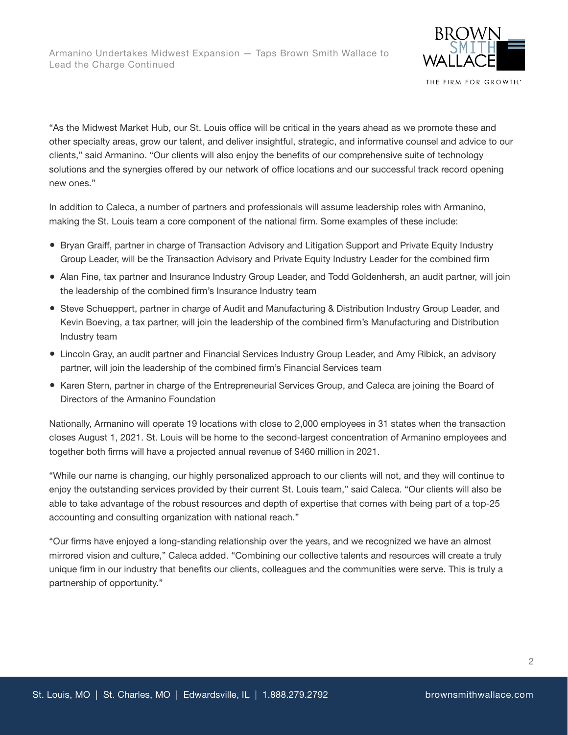

THE FIRM FOR GROWTH."

"As the Midwest Market Hub, our St. Louis office will be critical in the years ahead as we promote these and other specialty areas, grow our talent, and deliver insightful, strategic, and informative counsel and advice to our clients," said Armanino. "Our clients will also enjoy the benefits of our comprehensive suite of technology solutions and the synergies offered by our network of office locations and our successful track record opening new ones."

In addition to Caleca, a number of partners and professionals will assume leadership roles with Armanino, making the St. Louis team a core component of the national firm. Some examples of these include:

- Bryan Graiff, partner in charge of Transaction Advisory and Litigation Support and Private Equity Industry Group Leader, will be the Transaction Advisory and Private Equity Industry Leader for the combined firm
- Alan Fine, tax partner and Insurance Industry Group Leader, and Todd Goldenhersh, an audit partner, will join the leadership of the combined firm's Insurance Industry team
- Steve Schueppert, partner in charge of Audit and Manufacturing & Distribution Industry Group Leader, and Kevin Boeving, a tax partner, will join the leadership of the combined firm's Manufacturing and Distribution Industry team
- Lincoln Gray, an audit partner and Financial Services Industry Group Leader, and Amy Ribick, an advisory partner, will join the leadership of the combined firm's Financial Services team
- Karen Stern, partner in charge of the Entrepreneurial Services Group, and Caleca are joining the Board of Directors of the Armanino Foundation

Nationally, Armanino will operate 19 locations with close to 2,000 employees in 31 states when the transaction closes August 1, 2021. St. Louis will be home to the second-largest concentration of Armanino employees and together both firms will have a projected annual revenue of \$460 million in 2021.

"While our name is changing, our highly personalized approach to our clients will not, and they will continue to enjoy the outstanding services provided by their current St. Louis team," said Caleca. "Our clients will also be able to take advantage of the robust resources and depth of expertise that comes with being part of a top-25 accounting and consulting organization with national reach."

"Our firms have enjoyed a long-standing relationship over the years, and we recognized we have an almost mirrored vision and culture," Caleca added. "Combining our collective talents and resources will create a truly unique firm in our industry that benefits our clients, colleagues and the communities were serve. This is truly a partnership of opportunity."